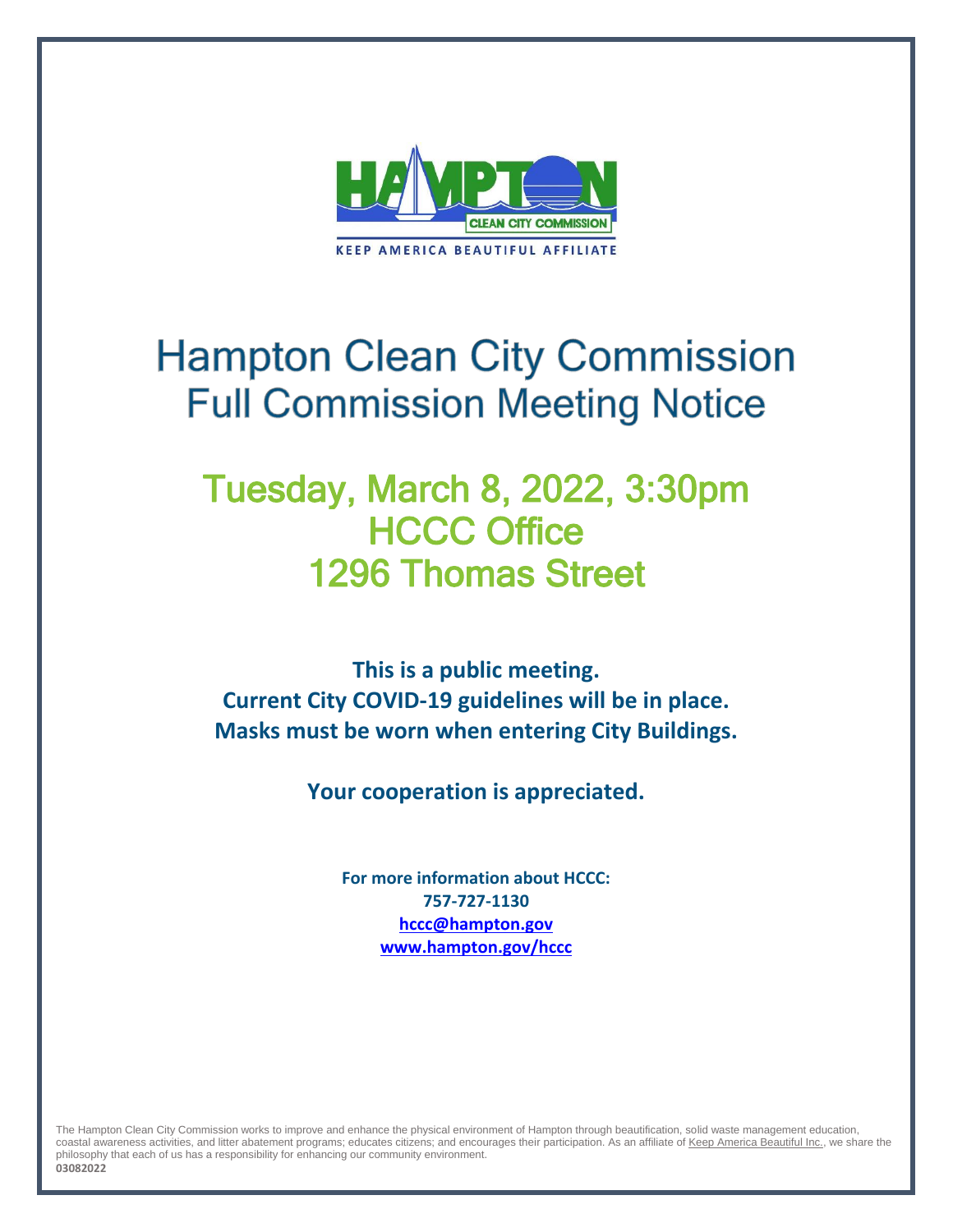

# **Hampton Clean City Commission Full Commission Meeting Notice**

## Tuesday, March 8, 2022, 3:30pm **HCCC Office** 1296 Thomas Street

**This is a public meeting. Current City COVID-19 guidelines will be in place. Masks must be worn when entering City Buildings.**

**Your cooperation is appreciated.**

**For more information about HCCC: 757-727-1130 [hccc@hampton.gov](mailto:hccc@hampton.gov) [www.hampton.gov/hccc](http://www.hampton.gov/hccc)**

The Hampton Clean City Commission works to improve and enhance the physical environment of Hampton through beautification, solid waste management education, coastal awareness activities, and litter abatement programs; educates citizens; and encourages their participation. As an affiliate o[f Keep America Beautiful Inc.,](http://www.kab.org/) we share the philosophy that each of us has a responsibility for enhancing our community environment. **03082022**